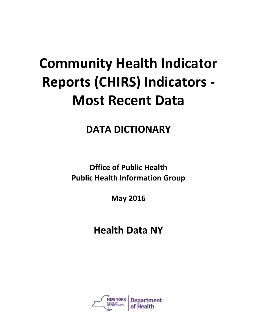## **Community Health Indicator Reports (CHIRS) Indicators - Most Recent Data**

**DATA DICTIONARY**

**Office of Public Health Public Health Information Group**

**May 2016**

**Health Data NY**

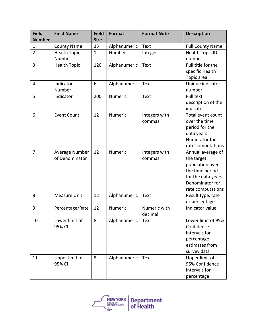| <b>Field</b>   | <b>Field Name</b>   | <b>Field</b> | <b>Format</b> | <b>Format Note</b> | <b>Description</b>      |
|----------------|---------------------|--------------|---------------|--------------------|-------------------------|
| <b>Number</b>  |                     | <b>Size</b>  |               |                    |                         |
| $\mathbf{1}$   | <b>County Name</b>  | 35           | Alphanumeric  | Text               | <b>Full County Name</b> |
| $\overline{2}$ | <b>Health Topic</b> | $1\,$        | Number        | Integer            | <b>Health Topic ID</b>  |
|                | Number              |              |               |                    | number                  |
| 3              | <b>Health Topic</b> | 120          | Alphanumeric  | Text               | Full title for the      |
|                |                     |              |               |                    | specific Health         |
|                |                     |              |               |                    | Topic area              |
| 4              | Indicator           | 6            | Alphanumeric  | <b>Text</b>        | Unique indicator        |
|                | Number              |              |               |                    | number                  |
| 5              | Indicator           | 200          | Numeric       | <b>Text</b>        | <b>Full text</b>        |
|                |                     |              |               |                    | description of the      |
|                |                     |              |               |                    | indicator               |
| 6              | <b>Event Count</b>  | 12           | Numeric       | Integers with      | Total event count       |
|                |                     |              |               | commas             | over the time           |
|                |                     |              |               |                    | period for the          |
|                |                     |              |               |                    | data years.             |
|                |                     |              |               |                    | Numerator for           |
|                |                     |              |               |                    | rate computations       |
| $\overline{7}$ | Average Number      | 12           | Numeric       | Integers with      | Annual average of       |
|                | of Denominator      |              |               | commas             | the target              |
|                |                     |              |               |                    | population over         |
|                |                     |              |               |                    | the time period         |
|                |                     |              |               |                    | for the data years.     |
|                |                     |              |               |                    | Denominator for         |
|                |                     |              |               |                    | rate computations       |
| 8              | <b>Measure Unit</b> | 12           | Alphanumeric  | Text               | Result type, rate       |
|                |                     |              |               |                    | or percentage           |
| 9              | Percentage/Rate     | 12           | Numeric       | Numeric with       | Indicator value         |
|                |                     |              |               | decimal            |                         |
| 10             | Lower limit of      | 8            | Alphanumeric  | Text               | Lower limit of 95%      |
|                | 95% CI              |              |               |                    | Confidence              |
|                |                     |              |               |                    | Intervals for           |
|                |                     |              |               |                    | percentage              |
|                |                     |              |               |                    | estimates from          |
|                |                     |              |               |                    | survey data             |
| 11             | Upper limit of      | 8            | Alphanumeric  | Text               | Upper limit of          |
|                | 95% CI              |              |               |                    | 95% Confidence          |
|                |                     |              |               |                    | Intervals for           |
|                |                     |              |               |                    | percentage              |